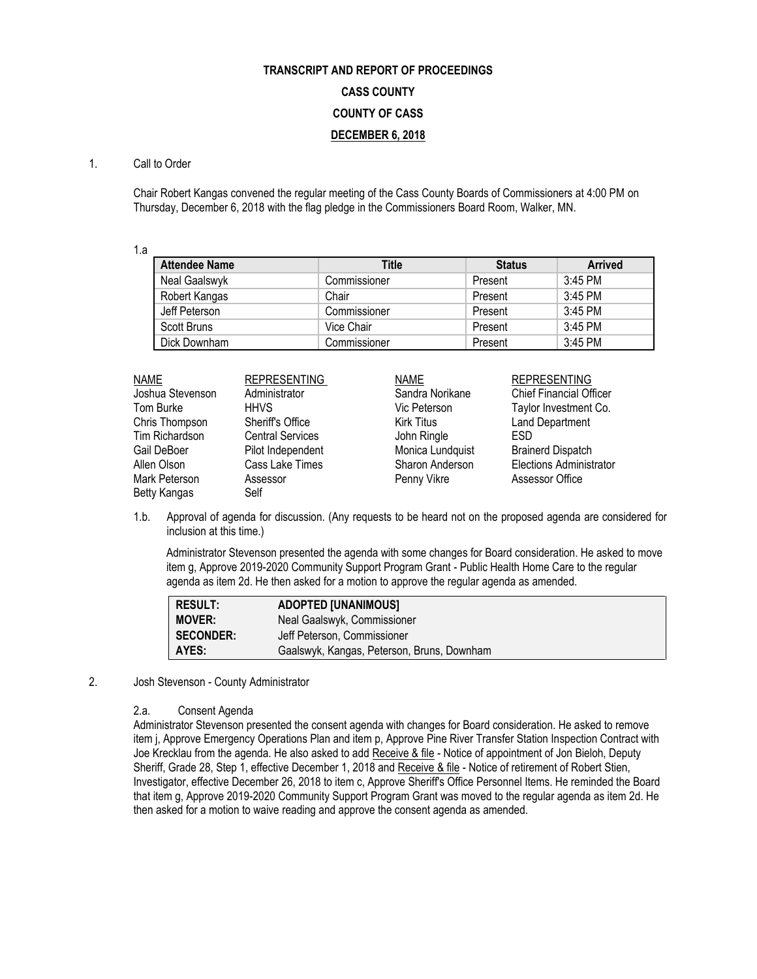# **TRANSCRIPT AND REPORT OF PROCEEDINGS CASS COUNTY COUNTY OF CASS DECEMBER 6, 2018**

# 1. Call to Order

Chair Robert Kangas convened the regular meeting of the Cass County Boards of Commissioners at 4:00 PM on Thursday, December 6, 2018 with the flag pledge in the Commissioners Board Room, Walker, MN.

1.a

| <b>Attendee Name</b> | <b>Title</b> | <b>Status</b> | <b>Arrived</b> |
|----------------------|--------------|---------------|----------------|
| Neal Gaalswyk        | Commissioner | Present       | $3:45$ PM      |
| Robert Kangas        | Chair        | Present       | $3:45$ PM      |
| Jeff Peterson        | Commissioner | Present       | 3:45 PM        |
| Scott Bruns          | Vice Chair   | Present       | 3:45 PM        |
| Dick Downham         | Commissioner | Present       | 3:45 PM        |

| <b>NAME</b>      | <b>REPRESENTING</b>     | <b>NAME</b>       | <b>REPRESENTING</b>            |
|------------------|-------------------------|-------------------|--------------------------------|
| Joshua Stevenson | Administrator           | Sandra Norikane   | <b>Chief Financial Officer</b> |
| Tom Burke        | <b>HHVS</b>             | Vic Peterson      | Taylor Investment Co.          |
| Chris Thompson   | Sheriff's Office        | <b>Kirk Titus</b> | <b>Land Department</b>         |
| Tim Richardson   | <b>Central Services</b> | John Ringle       | <b>ESD</b>                     |
| Gail DeBoer      | Pilot Independent       | Monica Lundquist  | <b>Brainerd Dispatch</b>       |
| Allen Olson      | Cass Lake Times         | Sharon Anderson   | <b>Elections Administrator</b> |
| Mark Peterson    | Assessor                | Penny Vikre       | Assessor Office                |
| Betty Kangas     | Self                    |                   |                                |

1.b. Approval of agenda for discussion. (Any requests to be heard not on the proposed agenda are considered for inclusion at this time.)

Administrator Stevenson presented the agenda with some changes for Board consideration. He asked to move item g, Approve 2019-2020 Community Support Program Grant - Public Health Home Care to the regular agenda as item 2d. He then asked for a motion to approve the regular agenda as amended.

| <b>RESULT:</b>   | <b>ADOPTED [UNANIMOUS]</b>                 |
|------------------|--------------------------------------------|
| <b>MOVER:</b>    | Neal Gaalswyk, Commissioner                |
| <b>SECONDER:</b> | Jeff Peterson, Commissioner                |
| AYES:            | Gaalswyk, Kangas, Peterson, Bruns, Downham |

2. Josh Stevenson - County Administrator

2.a. Consent Agenda

Administrator Stevenson presented the consent agenda with changes for Board consideration. He asked to remove item j, Approve Emergency Operations Plan and item p, Approve Pine River Transfer Station Inspection Contract with Joe Krecklau from the agenda. He also asked to add Receive & file - Notice of appointment of Jon Bieloh, Deputy Sheriff, Grade 28, Step 1, effective December 1, 2018 and Receive & file - Notice of retirement of Robert Stien, Investigator, effective December 26, 2018 to item c, Approve Sheriff's Office Personnel Items. He reminded the Board that item g, Approve 2019-2020 Community Support Program Grant was moved to the regular agenda as item 2d. He then asked for a motion to waive reading and approve the consent agenda as amended.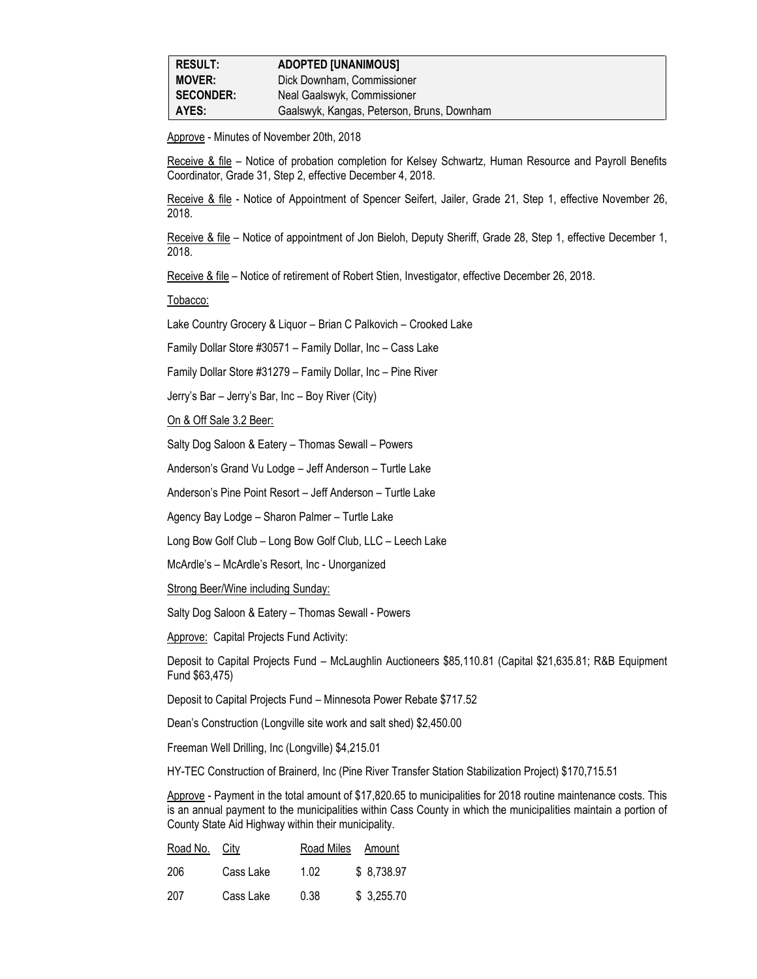| <b>RESULT:</b>   | <b>ADOPTED [UNANIMOUS]</b>                 |
|------------------|--------------------------------------------|
| <b>MOVER:</b>    | Dick Downham, Commissioner                 |
| <b>SECONDER:</b> | Neal Gaalswyk, Commissioner                |
| AYES:            | Gaalswyk, Kangas, Peterson, Bruns, Downham |

Approve - Minutes of November 20th, 2018

Receive & file – Notice of probation completion for Kelsey Schwartz, Human Resource and Payroll Benefits Coordinator, Grade 31, Step 2, effective December 4, 2018.

Receive & file - Notice of Appointment of Spencer Seifert, Jailer, Grade 21, Step 1, effective November 26, 2018.

Receive & file – Notice of appointment of Jon Bieloh, Deputy Sheriff, Grade 28, Step 1, effective December 1, 2018.

Receive & file – Notice of retirement of Robert Stien, Investigator, effective December 26, 2018.

Tobacco:

Lake Country Grocery & Liquor – Brian C Palkovich – Crooked Lake

Family Dollar Store #30571 – Family Dollar, Inc – Cass Lake

Family Dollar Store #31279 – Family Dollar, Inc – Pine River

Jerry's Bar – Jerry's Bar, Inc – Boy River (City)

On & Off Sale 3.2 Beer:

Salty Dog Saloon & Eatery – Thomas Sewall – Powers

Anderson's Grand Vu Lodge – Jeff Anderson – Turtle Lake

Anderson's Pine Point Resort – Jeff Anderson – Turtle Lake

Agency Bay Lodge – Sharon Palmer – Turtle Lake

Long Bow Golf Club – Long Bow Golf Club, LLC – Leech Lake

McArdle's – McArdle's Resort, Inc - Unorganized

Strong Beer/Wine including Sunday:

Salty Dog Saloon & Eatery – Thomas Sewall - Powers

Approve: Capital Projects Fund Activity:

Deposit to Capital Projects Fund – McLaughlin Auctioneers \$85,110.81 (Capital \$21,635.81; R&B Equipment Fund \$63,475)

Deposit to Capital Projects Fund – Minnesota Power Rebate \$717.52

Dean's Construction (Longville site work and salt shed) \$2,450.00

Freeman Well Drilling, Inc (Longville) \$4,215.01

HY-TEC Construction of Brainerd, Inc (Pine River Transfer Station Stabilization Project) \$170,715.51

Approve - Payment in the total amount of \$17,820.65 to municipalities for 2018 routine maintenance costs. This is an annual payment to the municipalities within Cass County in which the municipalities maintain a portion of County State Aid Highway within their municipality.

| Road No. City |           | Road Miles | Amount     |
|---------------|-----------|------------|------------|
| 206           | Cass Lake | 1.02       | \$8,738.97 |
| 207           | Cass Lake | 0.38       | \$3,255.70 |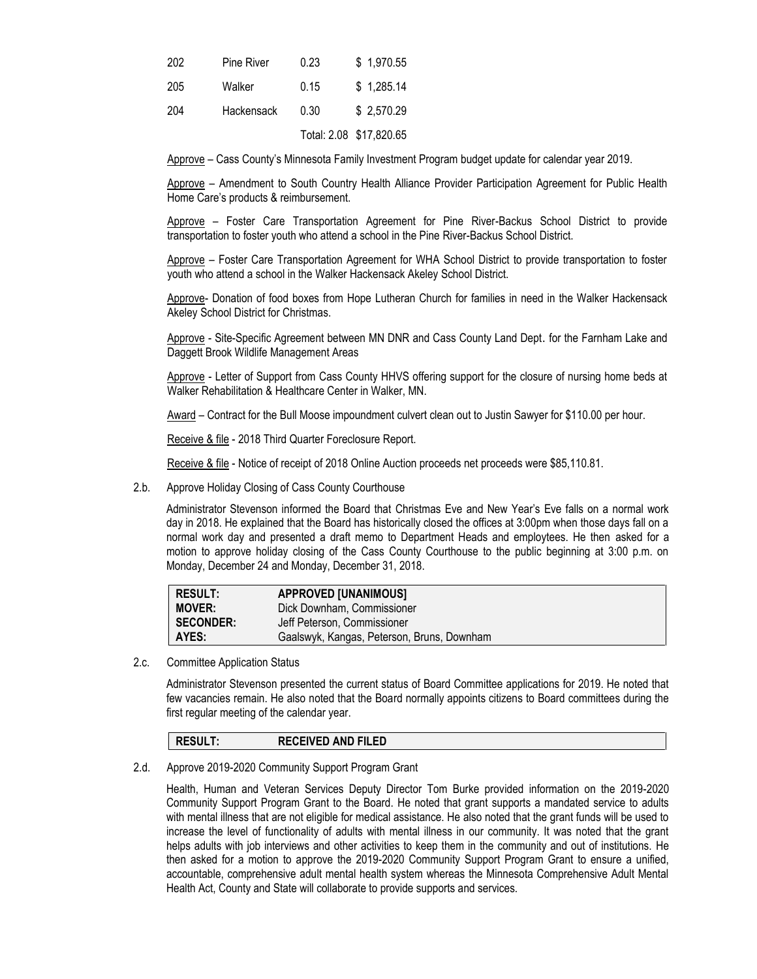| 202 | Pine River | 0.23 | \$1,970.55              |
|-----|------------|------|-------------------------|
| 205 | Walker     | 0.15 | \$1,285.14              |
| 204 | Hackensack | 0.30 | \$2,570.29              |
|     |            |      | Total: 2.08 \$17,820.65 |

Approve – Cass County's Minnesota Family Investment Program budget update for calendar year 2019.

Approve – Amendment to South Country Health Alliance Provider Participation Agreement for Public Health Home Care's products & reimbursement.

Approve – Foster Care Transportation Agreement for Pine River-Backus School District to provide transportation to foster youth who attend a school in the Pine River-Backus School District.

Approve – Foster Care Transportation Agreement for WHA School District to provide transportation to foster youth who attend a school in the Walker Hackensack Akeley School District.

Approve- Donation of food boxes from Hope Lutheran Church for families in need in the Walker Hackensack Akeley School District for Christmas.

Approve - Site-Specific Agreement between MN DNR and Cass County Land Dept. for the Farnham Lake and Daggett Brook Wildlife Management Areas

Approve - Letter of Support from Cass County HHVS offering support for the closure of nursing home beds at Walker Rehabilitation & Healthcare Center in Walker, MN.

Award – Contract for the Bull Moose impoundment culvert clean out to Justin Sawyer for \$110.00 per hour.

Receive & file - 2018 Third Quarter Foreclosure Report.

Receive & file - Notice of receipt of 2018 Online Auction proceeds net proceeds were \$85,110.81.

2.b. Approve Holiday Closing of Cass County Courthouse

Administrator Stevenson informed the Board that Christmas Eve and New Year's Eve falls on a normal work day in 2018. He explained that the Board has historically closed the offices at 3:00pm when those days fall on a normal work day and presented a draft memo to Department Heads and employtees. He then asked for a motion to approve holiday closing of the Cass County Courthouse to the public beginning at 3:00 p.m. on Monday, December 24 and Monday, December 31, 2018.

| <b>RESULT:</b>   | <b>APPROVED [UNANIMOUS]</b>                |
|------------------|--------------------------------------------|
| <b>MOVER:</b>    | Dick Downham, Commissioner                 |
| <b>SECONDER:</b> | Jeff Peterson, Commissioner                |
| AYES:            | Gaalswyk, Kangas, Peterson, Bruns, Downham |

2.c. Committee Application Status

Administrator Stevenson presented the current status of Board Committee applications for 2019. He noted that few vacancies remain. He also noted that the Board normally appoints citizens to Board committees during the first regular meeting of the calendar year.

#### **RESULT: RECEIVED AND FILED**

#### 2.d. Approve 2019-2020 Community Support Program Grant

Health, Human and Veteran Services Deputy Director Tom Burke provided information on the 2019-2020 Community Support Program Grant to the Board. He noted that grant supports a mandated service to adults with mental illness that are not eligible for medical assistance. He also noted that the grant funds will be used to increase the level of functionality of adults with mental illness in our community. It was noted that the grant helps adults with job interviews and other activities to keep them in the community and out of institutions. He then asked for a motion to approve the 2019-2020 Community Support Program Grant to ensure a unified, accountable, comprehensive adult mental health system whereas the Minnesota Comprehensive Adult Mental Health Act, County and State will collaborate to provide supports and services.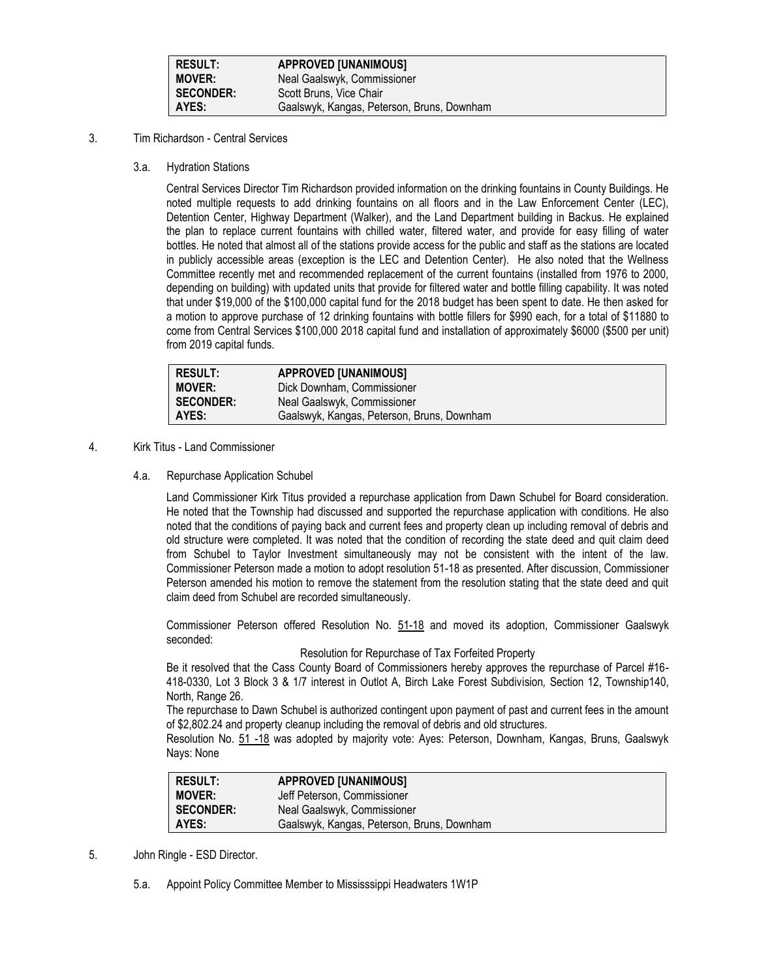| <b>RESULT:</b>   | <b>APPROVED [UNANIMOUS]</b>                |
|------------------|--------------------------------------------|
| <b>MOVER:</b>    | Neal Gaalswyk, Commissioner                |
| <b>SECONDER:</b> | Scott Bruns, Vice Chair                    |
| AYES:            | Gaalswyk, Kangas, Peterson, Bruns, Downham |

# 3. Tim Richardson - Central Services

3.a. Hydration Stations

Central Services Director Tim Richardson provided information on the drinking fountains in County Buildings. He noted multiple requests to add drinking fountains on all floors and in the Law Enforcement Center (LEC), Detention Center, Highway Department (Walker), and the Land Department building in Backus. He explained the plan to replace current fountains with chilled water, filtered water, and provide for easy filling of water bottles. He noted that almost all of the stations provide access for the public and staff as the stations are located in publicly accessible areas (exception is the LEC and Detention Center). He also noted that the Wellness Committee recently met and recommended replacement of the current fountains (installed from 1976 to 2000, depending on building) with updated units that provide for filtered water and bottle filling capability. It was noted that under \$19,000 of the \$100,000 capital fund for the 2018 budget has been spent to date. He then asked for a motion to approve purchase of 12 drinking fountains with bottle fillers for \$990 each, for a total of \$11880 to come from Central Services \$100,000 2018 capital fund and installation of approximately \$6000 (\$500 per unit) from 2019 capital funds.

| <b>RESULT:</b>   | <b>APPROVED [UNANIMOUS]</b>                |
|------------------|--------------------------------------------|
| <b>MOVER:</b>    | Dick Downham, Commissioner                 |
| <b>SECONDER:</b> | Neal Gaalswyk, Commissioner                |
| AYES:            | Gaalswyk, Kangas, Peterson, Bruns, Downham |

#### 4. Kirk Titus - Land Commissioner

4.a. Repurchase Application Schubel

Land Commissioner Kirk Titus provided a repurchase application from Dawn Schubel for Board consideration. He noted that the Township had discussed and supported the repurchase application with conditions. He also noted that the conditions of paying back and current fees and property clean up including removal of debris and old structure were completed. It was noted that the condition of recording the state deed and quit claim deed from Schubel to Taylor Investment simultaneously may not be consistent with the intent of the law. Commissioner Peterson made a motion to adopt resolution 51-18 as presented. After discussion, Commissioner Peterson amended his motion to remove the statement from the resolution stating that the state deed and quit claim deed from Schubel are recorded simultaneously.

Commissioner Peterson offered Resolution No. 51-18 and moved its adoption, Commissioner Gaalswyk seconded:

Resolution for Repurchase of Tax Forfeited Property

Be it resolved that the Cass County Board of Commissioners hereby approves the repurchase of Parcel #16- 418-0330, Lot 3 Block 3 & 1/7 interest in Outlot A, Birch Lake Forest Subdivision*,* Section 12, Township140, North, Range 26.

The repurchase to Dawn Schubel is authorized contingent upon payment of past and current fees in the amount of \$2,802.24 and property cleanup including the removal of debris and old structures.

Resolution No. 51 -18 was adopted by majority vote: Ayes: Peterson, Downham, Kangas, Bruns, Gaalswyk Nays: None

| <b>RESULT:</b>   | <b>APPROVED [UNANIMOUS]</b>                |
|------------------|--------------------------------------------|
| <b>MOVER:</b>    | Jeff Peterson, Commissioner                |
| <b>SECONDER:</b> | Neal Gaalswyk, Commissioner                |
| AYES:            | Gaalswyk, Kangas, Peterson, Bruns, Downham |

- 5. John Ringle ESD Director.
	- 5.a. Appoint Policy Committee Member to Mississsippi Headwaters 1W1P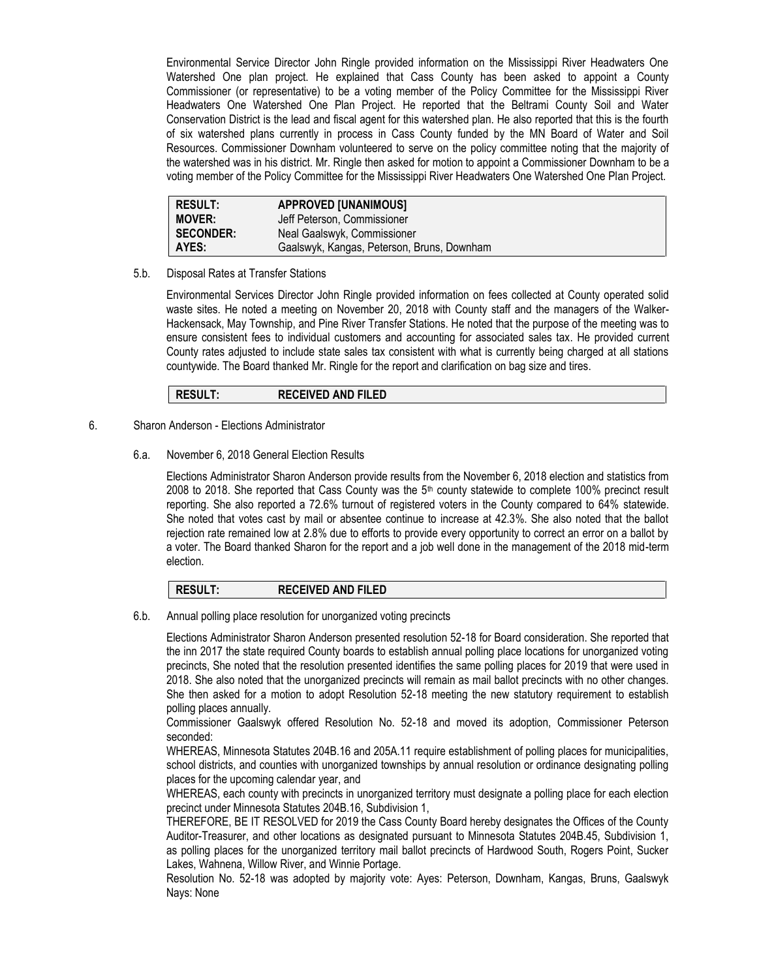Environmental Service Director John Ringle provided information on the Mississippi River Headwaters One Watershed One plan project. He explained that Cass County has been asked to appoint a County Commissioner (or representative) to be a voting member of the Policy Committee for the Mississippi River Headwaters One Watershed One Plan Project. He reported that the Beltrami County Soil and Water Conservation District is the lead and fiscal agent for this watershed plan. He also reported that this is the fourth of six watershed plans currently in process in Cass County funded by the MN Board of Water and Soil Resources. Commissioner Downham volunteered to serve on the policy committee noting that the majority of the watershed was in his district. Mr. Ringle then asked for motion to appoint a Commissioner Downham to be a voting member of the Policy Committee for the Mississippi River Headwaters One Watershed One Plan Project.

| <b>RESULT:</b>   | <b>APPROVED [UNANIMOUS]</b>                |
|------------------|--------------------------------------------|
| <b>MOVER:</b>    | Jeff Peterson, Commissioner                |
| <b>SECONDER:</b> | Neal Gaalswyk, Commissioner                |
| AYES:            | Gaalswyk, Kangas, Peterson, Bruns, Downham |

5.b. Disposal Rates at Transfer Stations

Environmental Services Director John Ringle provided information on fees collected at County operated solid waste sites. He noted a meeting on November 20, 2018 with County staff and the managers of the Walker-Hackensack, May Township, and Pine River Transfer Stations. He noted that the purpose of the meeting was to ensure consistent fees to individual customers and accounting for associated sales tax. He provided current County rates adjusted to include state sales tax consistent with what is currently being charged at all stations countywide. The Board thanked Mr. Ringle for the report and clarification on bag size and tires.

**RESULT: RECEIVED AND FILED**

# 6. Sharon Anderson - Elections Administrator

# 6.a. November 6, 2018 General Election Results

Elections Administrator Sharon Anderson provide results from the November 6, 2018 election and statistics from 2008 to 2018. She reported that Cass County was the  $5<sup>th</sup>$  county statewide to complete 100% precinct result reporting. She also reported a 72.6% turnout of registered voters in the County compared to 64% statewide. She noted that votes cast by mail or absentee continue to increase at 42.3%. She also noted that the ballot rejection rate remained low at 2.8% due to efforts to provide every opportunity to correct an error on a ballot by a voter. The Board thanked Sharon for the report and a job well done in the management of the 2018 mid-term election.

#### **RESULT: RECEIVED AND FILED**

6.b. Annual polling place resolution for unorganized voting precincts

Elections Administrator Sharon Anderson presented resolution 52-18 for Board consideration. She reported that the inn 2017 the state required County boards to establish annual polling place locations for unorganized voting precincts, She noted that the resolution presented identifies the same polling places for 2019 that were used in 2018. She also noted that the unorganized precincts will remain as mail ballot precincts with no other changes. She then asked for a motion to adopt Resolution 52-18 meeting the new statutory requirement to establish polling places annually.

Commissioner Gaalswyk offered Resolution No. 52-18 and moved its adoption, Commissioner Peterson seconded:

WHEREAS, Minnesota Statutes 204B.16 and 205A.11 require establishment of polling places for municipalities, school districts, and counties with unorganized townships by annual resolution or ordinance designating polling places for the upcoming calendar year, and

WHEREAS, each county with precincts in unorganized territory must designate a polling place for each election precinct under Minnesota Statutes 204B.16, Subdivision 1,

THEREFORE, BE IT RESOLVED for 2019 the Cass County Board hereby designates the Offices of the County Auditor-Treasurer, and other locations as designated pursuant to Minnesota Statutes 204B.45, Subdivision 1, as polling places for the unorganized territory mail ballot precincts of Hardwood South, Rogers Point, Sucker Lakes, Wahnena, Willow River, and Winnie Portage.

Resolution No. 52-18 was adopted by majority vote: Ayes: Peterson, Downham, Kangas, Bruns, Gaalswyk Nays: None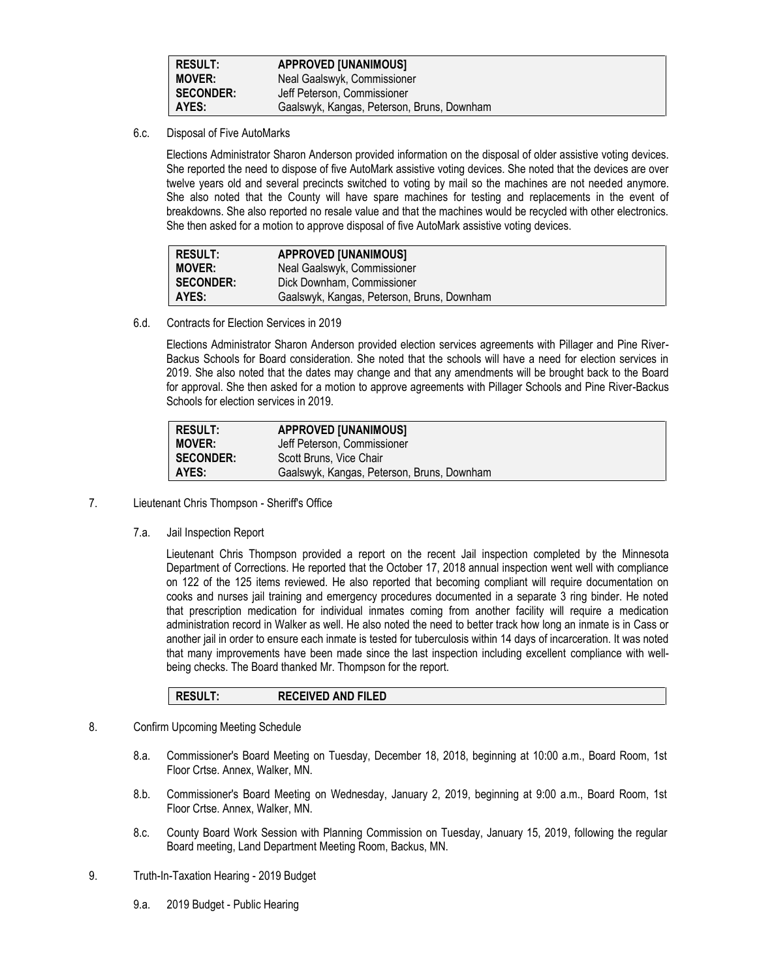| <b>RESULT:</b>   | <b>APPROVED [UNANIMOUS]</b>                |
|------------------|--------------------------------------------|
| <b>MOVER:</b>    | Neal Gaalswyk, Commissioner                |
| <b>SECONDER:</b> | Jeff Peterson, Commissioner                |
| AYES:            | Gaalswyk, Kangas, Peterson, Bruns, Downham |

6.c. Disposal of Five AutoMarks

Elections Administrator Sharon Anderson provided information on the disposal of older assistive voting devices. She reported the need to dispose of five AutoMark assistive voting devices. She noted that the devices are over twelve years old and several precincts switched to voting by mail so the machines are not needed anymore. She also noted that the County will have spare machines for testing and replacements in the event of breakdowns. She also reported no resale value and that the machines would be recycled with other electronics. She then asked for a motion to approve disposal of five AutoMark assistive voting devices.

| <b>RESULT:</b>   | <b>APPROVED [UNANIMOUS]</b>                |
|------------------|--------------------------------------------|
| <b>MOVER:</b>    | Neal Gaalswyk, Commissioner                |
| <b>SECONDER:</b> | Dick Downham, Commissioner                 |
| AYES:            | Gaalswyk, Kangas, Peterson, Bruns, Downham |

6.d. Contracts for Election Services in 2019

Elections Administrator Sharon Anderson provided election services agreements with Pillager and Pine River-Backus Schools for Board consideration. She noted that the schools will have a need for election services in 2019. She also noted that the dates may change and that any amendments will be brought back to the Board for approval. She then asked for a motion to approve agreements with Pillager Schools and Pine River-Backus Schools for election services in 2019.

| <b>RESULT:</b>   | <b>APPROVED [UNANIMOUS]</b>                |
|------------------|--------------------------------------------|
| <b>MOVER:</b>    | Jeff Peterson, Commissioner                |
| <b>SECONDER:</b> | Scott Bruns. Vice Chair                    |
| AYES:            | Gaalswyk, Kangas, Peterson, Bruns, Downham |

- 7. Lieutenant Chris Thompson Sheriff's Office
	- 7.a. Jail Inspection Report

Lieutenant Chris Thompson provided a report on the recent Jail inspection completed by the Minnesota Department of Corrections. He reported that the October 17, 2018 annual inspection went well with compliance on 122 of the 125 items reviewed. He also reported that becoming compliant will require documentation on cooks and nurses jail training and emergency procedures documented in a separate 3 ring binder. He noted that prescription medication for individual inmates coming from another facility will require a medication administration record in Walker as well. He also noted the need to better track how long an inmate is in Cass or another jail in order to ensure each inmate is tested for tuberculosis within 14 days of incarceration. It was noted that many improvements have been made since the last inspection including excellent compliance with wellbeing checks. The Board thanked Mr. Thompson for the report.

|--|

- 8. Confirm Upcoming Meeting Schedule
	- 8.a. Commissioner's Board Meeting on Tuesday, December 18, 2018, beginning at 10:00 a.m., Board Room, 1st Floor Crtse. Annex, Walker, MN.
	- 8.b. Commissioner's Board Meeting on Wednesday, January 2, 2019, beginning at 9:00 a.m., Board Room, 1st Floor Crtse. Annex, Walker, MN.
	- 8.c. County Board Work Session with Planning Commission on Tuesday, January 15, 2019, following the regular Board meeting, Land Department Meeting Room, Backus, MN.
- 9. Truth-In-Taxation Hearing 2019 Budget
	- 9.a. 2019 Budget Public Hearing